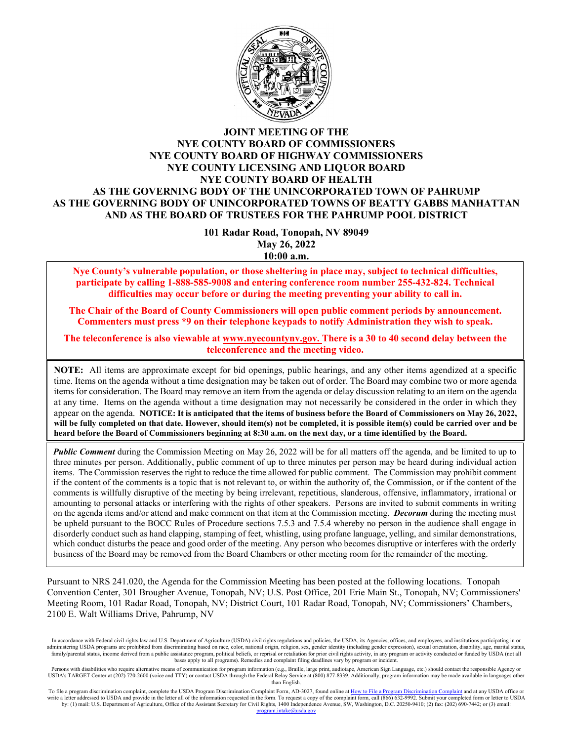

#### **JOINT MEETING OF THE NYE COUNTY BOARD OF COMMISSIONERS NYE COUNTY BOARD OF HIGHWAY COMMISSIONERS NYE COUNTY LICENSING AND LIQUOR BOARD NYE COUNTY BOARD OF HEALTH AS THE GOVERNING BODY OF THE UNINCORPORATED TOWN OF PAHRUMP AS THE GOVERNING BODY OF UNINCORPORATED TOWNS OF BEATTY GABBS MANHATTAN AND AS THE BOARD OF TRUSTEES FOR THE PAHRUMP POOL DISTRICT**

**101 Radar Road, Tonopah, NV 89049 May 26, 2022 10:00 a.m.**

**Nye County's vulnerable population, or those sheltering in place may, subject to technical difficulties, participate by calling 1-888-585-9008 and entering conference room number 255-432-824. Technical difficulties may occur before or during the meeting preventing your ability to call in.** 

**The Chair of the Board of County Commissioners will open public comment periods by announcement. Commenters must press \*9 on their telephone keypads to notify Administration they wish to speak.** 

**The teleconference is also viewable at [www.nyecountynv.gov.](http://www.nyecountynv.gov/) There is a 30 to 40 second delay between the teleconference and the meeting video.**

**NOTE:** All items are approximate except for bid openings, public hearings, and any other items agendized at a specific time. Items on the agenda without a time designation may be taken out of order. The Board may combine two or more agenda items for consideration. The Board may remove an item from the agenda or delay discussion relating to an item on the agenda at any time. Items on the agenda without a time designation may not necessarily be considered in the order in which they appear on the agenda. **NOTICE: It is anticipated that the items of business before the Board of Commissioners on May 26, 2022, will be fully completed on that date. However, should item(s) not be completed, it is possible item(s) could be carried over and be heard before the Board of Commissioners beginning at 8:30 a.m. on the next day, or a time identified by the Board.**

*Public Comment* during the Commission Meeting on May 26, 2022 will be for all matters off the agenda, and be limited to up to three minutes per person. Additionally, public comment of up to three minutes per person may be heard during individual action items. The Commission reserves the right to reduce the time allowed for public comment. The Commission may prohibit comment if the content of the comments is a topic that is not relevant to, or within the authority of, the Commission, or if the content of the comments is willfully disruptive of the meeting by being irrelevant, repetitious, slanderous, offensive, inflammatory, irrational or amounting to personal attacks or interfering with the rights of other speakers. Persons are invited to submit comments in writing on the agenda items and/or attend and make comment on that item at the Commission meeting. *Decorum* during the meeting must be upheld pursuant to the BOCC Rules of Procedure sections 7.5.3 and 7.5.4 whereby no person in the audience shall engage in disorderly conduct such as hand clapping, stamping of feet, whistling, using profane language, yelling, and similar demonstrations, which conduct disturbs the peace and good order of the meeting. Any person who becomes disruptive or interferes with the orderly business of the Board may be removed from the Board Chambers or other meeting room for the remainder of the meeting.

Pursuant to NRS 241.020, the Agenda for the Commission Meeting has been posted at the following locations. Tonopah Convention Center, 301 Brougher Avenue, Tonopah, NV; U.S. Post Office, 201 Erie Main St., Tonopah, NV; Commissioners' Meeting Room, 101 Radar Road, Tonopah, NV; District Court, 101 Radar Road, Tonopah, NV; Commissioners' Chambers, 2100 E. Walt Williams Drive, Pahrump, NV

To file a program discrimination complaint, complete the USDA Program Discrimination Complaint Form, AD-3027, found online a[t How to File a Program Discrimination Complaint](https://www.ascr.usda.gov/how-file-program-discrimination-complaint) and at any USDA office or write a letter addressed to USDA and provide in the letter all of the information requested in the form. To request a copy of the complaint form, call (866) 632-9992. Submit your completed form or letter to USDA by: (1) mail: U.S. Department of Agriculture, Office of the Assistant Secretary for Civil Rights, 1400 Independence Avenue, SW, Washington, D.C. 20250-9410; (2) fax: (202) 690-7442; or (3) email: program.<br>Program.<br>2011

In accordance with Federal civil rights law and U.S. Department of Agriculture (USDA) civil rights regulations and policies, the USDA, its Agencies, offices, and employees, and institutions participating in or administering USDA programs are prohibited from discriminating based on race, color, national origin, religion, sex, gender identity (including gender expression), sexual orientation, disability, age, marital status, and o family/parental status, income derived from a public assistance program, political beliefs, or reprisal or retaliation for prior civil rights activity, in any program or activity conducted or funded by USDA (not all bases apply to all programs). Remedies and complaint filing deadlines vary by program or incident.

Persons with disabilities who require alternative means of communication for program information (e.g., Braille, large print, audiotape, American Sign Language, etc.) should contact the responsible Agency or USDA's TARGET Center at (202) 720-2600 (voice and TTY) or contact USDA through the Federal Relay Service at (800) 877-8339. Additionally, program information may be made available in languages other than English.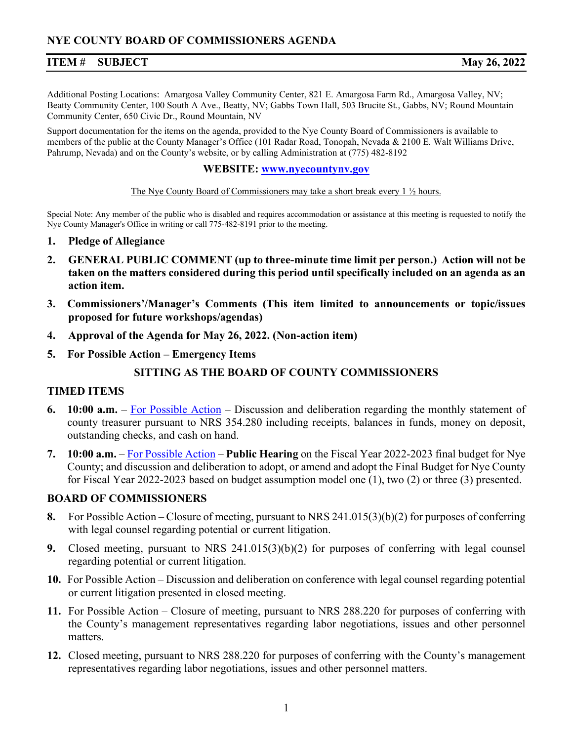### **ITEM # SUBJECT May 26, 2022**

Additional Posting Locations: Amargosa Valley Community Center, 821 E. Amargosa Farm Rd., Amargosa Valley, NV; Beatty Community Center, 100 South A Ave., Beatty, NV; Gabbs Town Hall, 503 Brucite St., Gabbs, NV; Round Mountain Community Center, 650 Civic Dr., Round Mountain, NV

Support documentation for the items on the agenda, provided to the Nye County Board of Commissioners is available to members of the public at the County Manager's Office (101 Radar Road, Tonopah, Nevada & 2100 E. Walt Williams Drive, Pahrump, Nevada) and on the County's website, or by calling Administration at (775) 482-8192

#### **WEBSITE: [www.nyecountyn](http://www.nyecounty.net/)v.gov**

#### The Nye County Board of Commissioners may take a short break every 1 ½ hours.

Special Note: Any member of the public who is disabled and requires accommodation or assistance at this meeting is requested to notify the Nye County Manager's Office in writing or call 775-482-8191 prior to the meeting.

- **1. Pledge of Allegiance**
- **2. GENERAL PUBLIC COMMENT (up to three-minute time limit per person.) Action will not be taken on the matters considered during this period until specifically included on an agenda as an action item.**
- **3. Commissioners'/Manager's Comments (This item limited to announcements or topic/issues proposed for future workshops/agendas)**
- **4. Approval of the Agenda for May 26, 2022. (Non-action item)**
- **5. For Possible Action – Emergency Items**

## **SITTING AS THE BOARD OF COUNTY COMMISSIONERS**

#### **TIMED ITEMS**

- **6. 10:00 a.m.** [For Possible Action](https://www.nyecountynv.gov/DocumentCenter/View/41132/Item6) Discussion and deliberation regarding the monthly statement of county treasurer pursuant to NRS 354.280 including receipts, balances in funds, money on deposit, outstanding checks, and cash on hand.
- **7. 10:00 a.m.** [For Possible Action](https://www.nyecountynv.gov/DocumentCenter/View/41133/Item7) **Public Hearing** on the Fiscal Year 2022-2023 final budget for Nye County; and discussion and deliberation to adopt, or amend and adopt the Final Budget for Nye County for Fiscal Year 2022-2023 based on budget assumption model one (1), two (2) or three (3) presented.

#### **BOARD OF COMMISSIONERS**

- **8.** For Possible Action Closure of meeting, pursuant to NRS 241.015(3)(b)(2) for purposes of conferring with legal counsel regarding potential or current litigation.
- **9.** Closed meeting, pursuant to NRS 241.015(3)(b)(2) for purposes of conferring with legal counsel regarding potential or current litigation.
- **10.** For Possible Action Discussion and deliberation on conference with legal counsel regarding potential or current litigation presented in closed meeting.
- **11.** For Possible Action Closure of meeting, pursuant to NRS 288.220 for purposes of conferring with the County's management representatives regarding labor negotiations, issues and other personnel matters.
- **12.** Closed meeting, pursuant to NRS 288.220 for purposes of conferring with the County's management representatives regarding labor negotiations, issues and other personnel matters.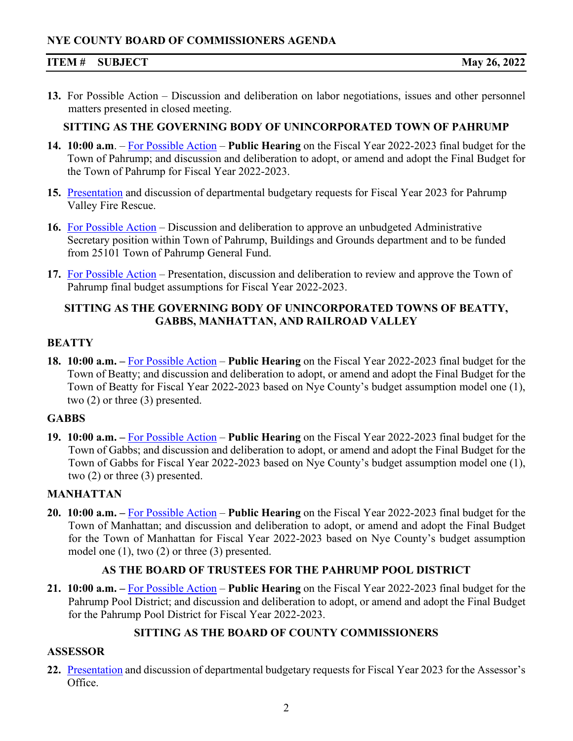## **NYE COUNTY BOARD OF COMMISSIONERS AGENDA**

#### **ITEM # SUBJECT May 26, 2022**

**13.** For Possible Action – Discussion and deliberation on labor negotiations, issues and other personnel matters presented in closed meeting.

#### **SITTING AS THE GOVERNING BODY OF UNINCORPORATED TOWN OF PAHRUMP**

- **14. 10:00 a.m**. [For Possible Action](https://www.nyecountynv.gov/DocumentCenter/View/41134/Item14) **Public Hearing** on the Fiscal Year 2022-2023 final budget for the Town of Pahrump; and discussion and deliberation to adopt, or amend and adopt the Final Budget for the Town of Pahrump for Fiscal Year 2022-2023.
- **15.** [Presentation](https://www.nyecountynv.gov/DocumentCenter/View/41135/Item15) and discussion of departmental budgetary requests for Fiscal Year 2023 for Pahrump Valley Fire Rescue.
- **16.** [For Possible Action](https://www.nyecountynv.gov/DocumentCenter/View/41136/Item16) Discussion and deliberation to approve an unbudgeted Administrative Secretary position within Town of Pahrump, Buildings and Grounds department and to be funded from 25101 Town of Pahrump General Fund.
- **17.** [For Possible Action](https://www.nyecountynv.gov/DocumentCenter/View/41137/Item17) Presentation, discussion and deliberation to review and approve the Town of Pahrump final budget assumptions for Fiscal Year 2022-2023.

## **SITTING AS THE GOVERNING BODY OF UNINCORPORATED TOWNS OF BEATTY, GABBS, MANHATTAN, AND RAILROAD VALLEY**

#### **BEATTY**

**18. 10:00 a.m. –** [For Possible Action](https://www.nyecountynv.gov/DocumentCenter/View/41138/Item18) – **Public Hearing** on the Fiscal Year 2022-2023 final budget for the Town of Beatty; and discussion and deliberation to adopt, or amend and adopt the Final Budget for the Town of Beatty for Fiscal Year 2022-2023 based on Nye County's budget assumption model one (1), two (2) or three (3) presented.

#### **GABBS**

**19. 10:00 a.m. –** [For Possible Action](https://www.nyecountynv.gov/DocumentCenter/View/41139/Item19) – **Public Hearing** on the Fiscal Year 2022-2023 final budget for the Town of Gabbs; and discussion and deliberation to adopt, or amend and adopt the Final Budget for the Town of Gabbs for Fiscal Year 2022-2023 based on Nye County's budget assumption model one (1), two (2) or three (3) presented.

## **MANHATTAN**

**20. 10:00 a.m. –** [For Possible Action](https://www.nyecountynv.gov/DocumentCenter/View/41140/Item20) – **Public Hearing** on the Fiscal Year 2022-2023 final budget for the Town of Manhattan; and discussion and deliberation to adopt, or amend and adopt the Final Budget for the Town of Manhattan for Fiscal Year 2022-2023 based on Nye County's budget assumption model one (1), two (2) or three (3) presented.

## **AS THE BOARD OF TRUSTEES FOR THE PAHRUMP POOL DISTRICT**

**21. 10:00 a.m. –** [For Possible Action](https://www.nyecountynv.gov/DocumentCenter/View/41141/Item21) – **Public Hearing** on the Fiscal Year 2022-2023 final budget for the Pahrump Pool District; and discussion and deliberation to adopt, or amend and adopt the Final Budget for the Pahrump Pool District for Fiscal Year 2022-2023.

## **SITTING AS THE BOARD OF COUNTY COMMISSIONERS**

## **ASSESSOR**

**22.** [Presentation](https://www.nyecountynv.gov/DocumentCenter/View/41142/Item22) and discussion of departmental budgetary requests for Fiscal Year 2023 for the Assessor's Office.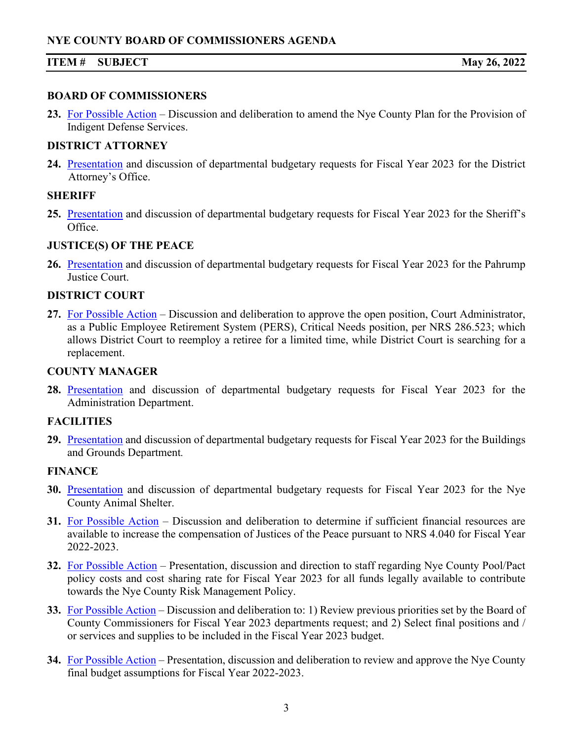## **ITEM # SUBJECT May 26, 2022**

#### **BOARD OF COMMISSIONERS**

**23.** [For Possible Action](https://www.nyecountynv.gov/DocumentCenter/View/41143/Item23) – Discussion and deliberation to amend the Nye County Plan for the Provision of Indigent Defense Services.

## **DISTRICT ATTORNEY**

**24.** [Presentation](https://www.nyecountynv.gov/DocumentCenter/View/41144/Item24) and discussion of departmental budgetary requests for Fiscal Year 2023 for the District Attorney's Office.

## **SHERIFF**

**25.** [Presentation](https://www.nyecountynv.gov/DocumentCenter/View/41145/Item25) and discussion of departmental budgetary requests for Fiscal Year 2023 for the Sheriff's Office.

## **JUSTICE(S) OF THE PEACE**

**26.** [Presentation](https://www.nyecountynv.gov/DocumentCenter/View/41146/Item26) and discussion of departmental budgetary requests for Fiscal Year 2023 for the Pahrump Justice Court.

## **DISTRICT COURT**

**27.** [For Possible Action](https://www.nyecountynv.gov/DocumentCenter/View/41147/Item27) – Discussion and deliberation to approve the open position, Court Administrator, as a Public Employee Retirement System (PERS), Critical Needs position, per NRS 286.523; which allows District Court to reemploy a retiree for a limited time, while District Court is searching for a replacement.

## **COUNTY MANAGER**

**28.** [Presentation](https://www.nyecountynv.gov/DocumentCenter/View/41148/Item28) and discussion of departmental budgetary requests for Fiscal Year 2023 for the Administration Department.

## **FACILITIES**

**29.** [Presentation](https://www.nyecountynv.gov/DocumentCenter/View/41149/Item29) and discussion of departmental budgetary requests for Fiscal Year 2023 for the Buildings and Grounds Department*.*

## **FINANCE**

- **30.** [Presentation](https://www.nyecountynv.gov/DocumentCenter/View/41150/Item30) and discussion of departmental budgetary requests for Fiscal Year 2023 for the Nye County Animal Shelter.
- **31.** [For Possible Action](https://www.nyecountynv.gov/DocumentCenter/View/41151/Item31) Discussion and deliberation to determine if sufficient financial resources are available to increase the compensation of Justices of the Peace pursuant to NRS 4.040 for Fiscal Year 2022-2023.
- **32.** [For Possible Action](https://www.nyecountynv.gov/DocumentCenter/View/41152/Item32) Presentation, discussion and direction to staff regarding Nye County Pool/Pact policy costs and cost sharing rate for Fiscal Year 2023 for all funds legally available to contribute towards the Nye County Risk Management Policy.
- **33.** [For Possible Action](https://www.nyecountynv.gov/DocumentCenter/View/41153/Item33) Discussion and deliberation to: 1) Review previous priorities set by the Board of County Commissioners for Fiscal Year 2023 departments request; and 2) Select final positions and / or services and supplies to be included in the Fiscal Year 2023 budget.
- **34.** [For Possible Action](https://www.nyecountynv.gov/DocumentCenter/View/41154/Item34) Presentation, discussion and deliberation to review and approve the Nye County final budget assumptions for Fiscal Year 2022-2023.